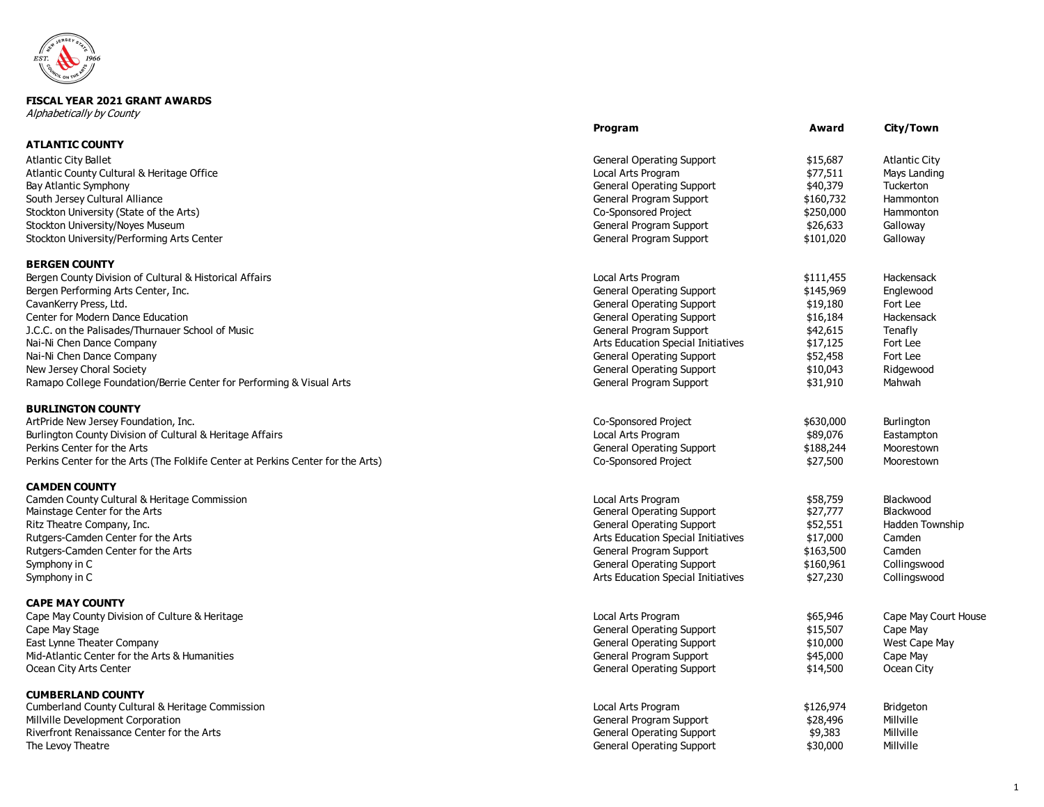

## **FISCAL YEAR 2021 GRANT AWARDS**

Alphabetically by County

|                                                                                       | Program                                       | Award                 | City/Town              |
|---------------------------------------------------------------------------------------|-----------------------------------------------|-----------------------|------------------------|
| <b>ATLANTIC COUNTY</b>                                                                |                                               |                       |                        |
| <b>Atlantic City Ballet</b>                                                           | <b>General Operating Support</b>              | \$15,687              | <b>Atlantic City</b>   |
| Atlantic County Cultural & Heritage Office                                            | Local Arts Program                            | \$77,511              | Mays Landing           |
| Bay Atlantic Symphony                                                                 | <b>General Operating Support</b>              | \$40,379              | Tuckerton              |
| South Jersey Cultural Alliance                                                        | General Program Support                       | \$160,732             | Hammonton              |
| Stockton University (State of the Arts)                                               | Co-Sponsored Project                          | \$250,000             | Hammonton              |
| Stockton University/Noyes Museum                                                      | General Program Support                       | \$26,633              | Galloway               |
| Stockton University/Performing Arts Center                                            | General Program Support                       | \$101,020             | Galloway               |
| <b>BERGEN COUNTY</b>                                                                  |                                               |                       |                        |
| Bergen County Division of Cultural & Historical Affairs                               | Local Arts Program                            | \$111,455             | Hackensack             |
| Bergen Performing Arts Center, Inc.                                                   | <b>General Operating Support</b>              | \$145,969             | Englewood              |
| CavanKerry Press, Ltd.                                                                | <b>General Operating Support</b>              | \$19,180              | Fort Lee               |
| Center for Modern Dance Education                                                     | <b>General Operating Support</b>              | \$16,184              | Hackensack             |
| J.C.C. on the Palisades/Thurnauer School of Music                                     | General Program Support                       | \$42,615              | Tenafly                |
| Nai-Ni Chen Dance Company                                                             | Arts Education Special Initiatives            | \$17,125              | Fort Lee               |
| Nai-Ni Chen Dance Company                                                             | <b>General Operating Support</b>              | \$52,458              | Fort Lee               |
| New Jersey Choral Society                                                             | <b>General Operating Support</b>              | \$10,043              | Ridgewood              |
| Ramapo College Foundation/Berrie Center for Performing & Visual Arts                  | General Program Support                       | \$31,910              | Mahwah                 |
| <b>BURLINGTON COUNTY</b>                                                              |                                               |                       |                        |
| ArtPride New Jersey Foundation, Inc.                                                  | Co-Sponsored Project                          | \$630,000             | Burlington             |
| Burlington County Division of Cultural & Heritage Affairs                             | Local Arts Program                            | \$89,076              | Eastampton             |
| Perkins Center for the Arts                                                           | <b>General Operating Support</b>              | \$188,244             | Moorestown             |
| Perkins Center for the Arts (The Folklife Center at Perkins Center for the Arts)      | Co-Sponsored Project                          | \$27,500              | Moorestown             |
| <b>CAMDEN COUNTY</b>                                                                  |                                               |                       |                        |
| Camden County Cultural & Heritage Commission                                          | Local Arts Program                            | \$58,759              | Blackwood              |
| Mainstage Center for the Arts                                                         | <b>General Operating Support</b>              | \$27,777              | Blackwood              |
| Ritz Theatre Company, Inc.                                                            | <b>General Operating Support</b>              | \$52,551              | Hadden Township        |
| Rutgers-Camden Center for the Arts                                                    | Arts Education Special Initiatives            | \$17,000              | Camden                 |
| Rutgers-Camden Center for the Arts                                                    | General Program Support                       | \$163,500             | Camden                 |
| Symphony in C                                                                         | <b>General Operating Support</b>              | \$160,961             | Collingswood           |
| Symphony in C                                                                         | Arts Education Special Initiatives            | \$27,230              | Collingswood           |
| <b>CAPE MAY COUNTY</b>                                                                |                                               |                       |                        |
| Cape May County Division of Culture & Heritage                                        | Local Arts Program                            | \$65,946              | Cape May Court House   |
| Cape May Stage                                                                        | <b>General Operating Support</b>              | \$15,507              | Cape May               |
| East Lynne Theater Company                                                            | <b>General Operating Support</b>              | \$10,000              | West Cape May          |
| Mid-Atlantic Center for the Arts & Humanities                                         | General Program Support                       | \$45,000              | Cape May               |
| Ocean City Arts Center                                                                | <b>General Operating Support</b>              | \$14,500              | Ocean City             |
| <b>CUMBERLAND COUNTY</b>                                                              |                                               |                       |                        |
| Cumberland County Cultural & Heritage Commission<br>Millville Development Corporation | Local Arts Program<br>General Program Support | \$126,974<br>\$28,496 | Bridgeton<br>Millville |
| Riverfront Renaissance Center for the Arts                                            | <b>General Operating Support</b>              | \$9,383               | Millville              |
| The Levoy Theatre                                                                     | <b>General Operating Support</b>              | \$30,000              | Millville              |
|                                                                                       |                                               |                       |                        |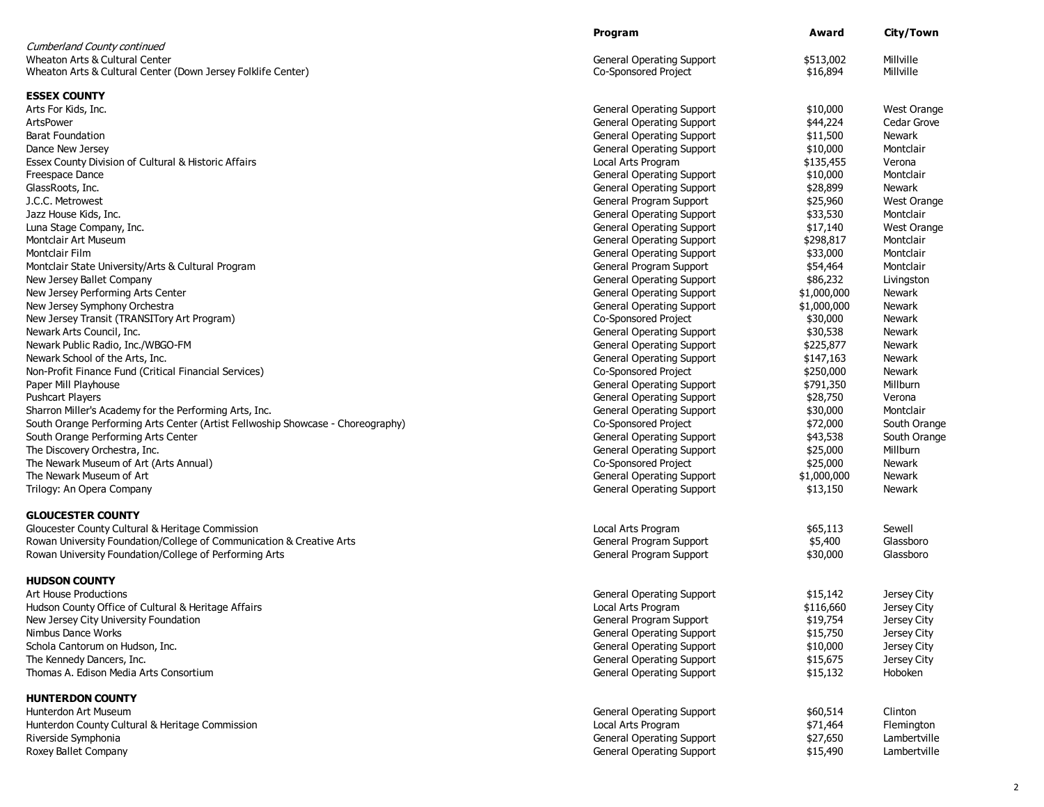|                                                                                 | Program                          | Award       | City/Town          |
|---------------------------------------------------------------------------------|----------------------------------|-------------|--------------------|
| Cumberland County continued                                                     |                                  |             |                    |
| Wheaton Arts & Cultural Center                                                  | <b>General Operating Support</b> | \$513,002   | Millville          |
| Wheaton Arts & Cultural Center (Down Jersey Folklife Center)                    | Co-Sponsored Project             | \$16,894    | Millville          |
| <b>ESSEX COUNTY</b>                                                             |                                  |             |                    |
| Arts For Kids, Inc.                                                             | <b>General Operating Support</b> | \$10,000    | West Orange        |
| ArtsPower                                                                       | <b>General Operating Support</b> | \$44,224    | Cedar Grove        |
| <b>Barat Foundation</b>                                                         | <b>General Operating Support</b> | \$11,500    | <b>Newark</b>      |
| Dance New Jersey                                                                | <b>General Operating Support</b> | \$10,000    | Montclair          |
| Essex County Division of Cultural & Historic Affairs                            | Local Arts Program               | \$135,455   | Verona             |
| Freespace Dance                                                                 | <b>General Operating Support</b> | \$10,000    | Montclair          |
| GlassRoots, Inc.                                                                | <b>General Operating Support</b> | \$28,899    | <b>Newark</b>      |
| J.C.C. Metrowest                                                                | General Program Support          | \$25,960    | <b>West Orange</b> |
| Jazz House Kids, Inc.                                                           | <b>General Operating Support</b> | \$33,530    | Montclair          |
| Luna Stage Company, Inc.                                                        | <b>General Operating Support</b> | \$17,140    | West Orange        |
| Montclair Art Museum                                                            | <b>General Operating Support</b> | \$298,817   | Montclair          |
| Montclair Film                                                                  | <b>General Operating Support</b> | \$33,000    | Montclair          |
| Montclair State University/Arts & Cultural Program                              | General Program Support          | \$54,464    | Montclair          |
| New Jersey Ballet Company                                                       | <b>General Operating Support</b> | \$86,232    | Livingston         |
| New Jersey Performing Arts Center                                               | <b>General Operating Support</b> | \$1,000,000 | <b>Newark</b>      |
| New Jersey Symphony Orchestra                                                   | <b>General Operating Support</b> | \$1,000,000 | Newark             |
| New Jersey Transit (TRANSITory Art Program)                                     | Co-Sponsored Project             | \$30,000    | <b>Newark</b>      |
| Newark Arts Council, Inc.                                                       | <b>General Operating Support</b> | \$30,538    | <b>Newark</b>      |
| Newark Public Radio, Inc./WBGO-FM                                               | <b>General Operating Support</b> | \$225,877   | Newark             |
| Newark School of the Arts, Inc.                                                 | <b>General Operating Support</b> | \$147,163   | <b>Newark</b>      |
| Non-Profit Finance Fund (Critical Financial Services)                           | Co-Sponsored Project             | \$250,000   | Newark             |
| Paper Mill Playhouse                                                            | <b>General Operating Support</b> | \$791,350   | Millburn           |
| Pushcart Players                                                                | <b>General Operating Support</b> | \$28,750    | Verona             |
| Sharron Miller's Academy for the Performing Arts, Inc.                          | <b>General Operating Support</b> | \$30,000    | Montclair          |
| South Orange Performing Arts Center (Artist Fellwoship Showcase - Choreography) | Co-Sponsored Project             | \$72,000    | South Orange       |
| South Orange Performing Arts Center                                             | <b>General Operating Support</b> | \$43,538    | South Orange       |
| The Discovery Orchestra, Inc.                                                   | <b>General Operating Support</b> | \$25,000    | Millburn           |
| The Newark Museum of Art (Arts Annual)                                          | Co-Sponsored Project             | \$25,000    | Newark             |
| The Newark Museum of Art                                                        | <b>General Operating Support</b> | \$1,000,000 | Newark             |
| Trilogy: An Opera Company                                                       | <b>General Operating Support</b> | \$13,150    | Newark             |
| <b>GLOUCESTER COUNTY</b>                                                        |                                  |             |                    |
| Gloucester County Cultural & Heritage Commission                                | Local Arts Program               | \$65,113    | Sewell             |
| Rowan University Foundation/College of Communication & Creative Arts            | General Program Support          | \$5,400     | Glassboro          |
| Rowan University Foundation/College of Performing Arts                          | General Program Support          | \$30,000    | Glassboro          |
|                                                                                 |                                  |             |                    |
| <b>HUDSON COUNTY</b>                                                            |                                  |             |                    |
| <b>Art House Productions</b>                                                    | <b>General Operating Support</b> | \$15,142    | Jersey City        |
| Hudson County Office of Cultural & Heritage Affairs                             | Local Arts Program               | \$116,660   | Jersey City        |
| New Jersey City University Foundation                                           | General Program Support          | \$19,754    | Jersey City        |
| Nimbus Dance Works                                                              | <b>General Operating Support</b> | \$15,750    | Jersey City        |
| Schola Cantorum on Hudson, Inc.                                                 | <b>General Operating Support</b> | \$10,000    | Jersey City        |
| The Kennedy Dancers, Inc.                                                       | <b>General Operating Support</b> | \$15,675    | Jersey City        |
| Thomas A. Edison Media Arts Consortium                                          | <b>General Operating Support</b> | \$15,132    | Hoboken            |
| <b>HUNTERDON COUNTY</b>                                                         |                                  |             |                    |
| Hunterdon Art Museum                                                            | <b>General Operating Support</b> | \$60,514    | Clinton            |
| Hunterdon County Cultural & Heritage Commission                                 | Local Arts Program               | \$71,464    | Flemington         |
| Riverside Symphonia                                                             | <b>General Operating Support</b> | \$27,650    | Lambertville       |
| Roxey Ballet Company                                                            | <b>General Operating Support</b> | \$15,490    | Lambertville       |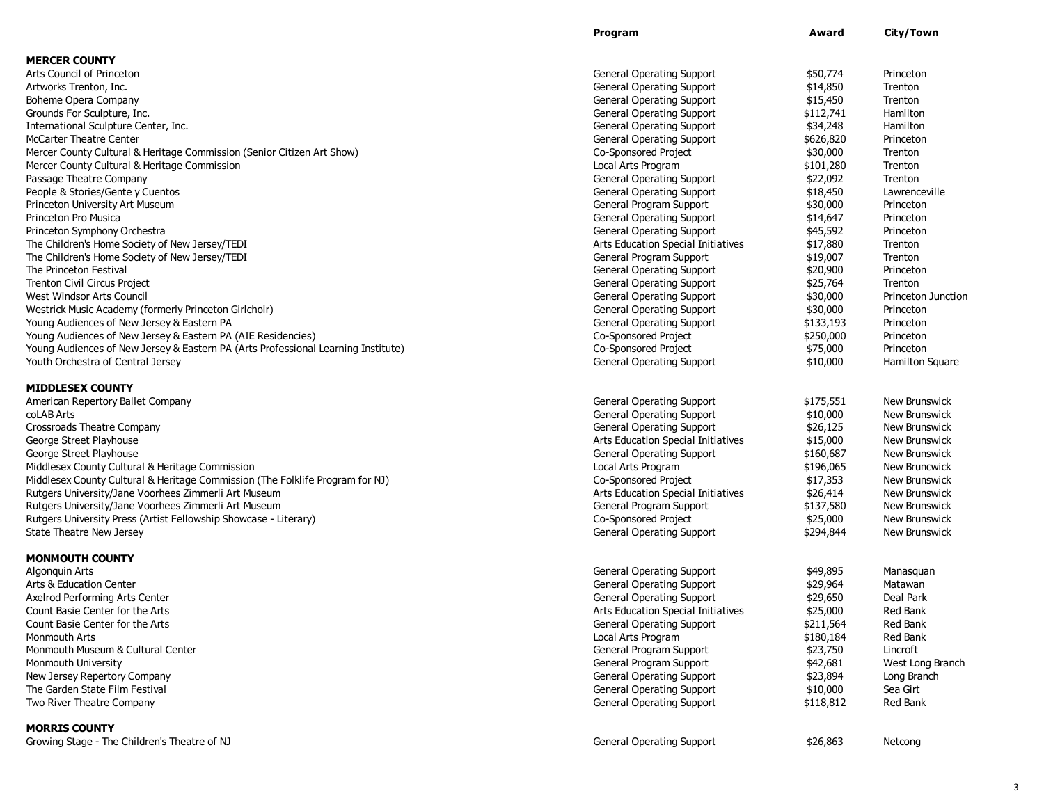|                                                                                   | Program                            | Award     | City/Town          |
|-----------------------------------------------------------------------------------|------------------------------------|-----------|--------------------|
| <b>MERCER COUNTY</b>                                                              |                                    |           |                    |
| Arts Council of Princeton                                                         | <b>General Operating Support</b>   | \$50,774  | Princeton          |
| Artworks Trenton, Inc.                                                            | <b>General Operating Support</b>   | \$14,850  | Trenton            |
| Boheme Opera Company                                                              | <b>General Operating Support</b>   | \$15,450  | Trenton            |
| Grounds For Sculpture, Inc.                                                       | <b>General Operating Support</b>   | \$112,741 | Hamilton           |
| International Sculpture Center, Inc.                                              | <b>General Operating Support</b>   | \$34,248  | Hamilton           |
| <b>McCarter Theatre Center</b>                                                    | <b>General Operating Support</b>   | \$626,820 | Princeton          |
| Mercer County Cultural & Heritage Commission (Senior Citizen Art Show)            | Co-Sponsored Project               | \$30,000  | Trenton            |
| Mercer County Cultural & Heritage Commission                                      | Local Arts Program                 | \$101,280 | Trenton            |
| Passage Theatre Company                                                           | <b>General Operating Support</b>   | \$22,092  | Trenton            |
| People & Stories/Gente y Cuentos                                                  | <b>General Operating Support</b>   | \$18,450  | Lawrenceville      |
| Princeton University Art Museum                                                   | General Program Support            | \$30,000  | Princeton          |
| Princeton Pro Musica                                                              | <b>General Operating Support</b>   | \$14,647  | Princeton          |
| Princeton Symphony Orchestra                                                      | <b>General Operating Support</b>   | \$45,592  | Princeton          |
| The Children's Home Society of New Jersey/TEDI                                    | Arts Education Special Initiatives | \$17,880  | Trenton            |
| The Children's Home Society of New Jersey/TEDI                                    | General Program Support            | \$19,007  | Trenton            |
| The Princeton Festival                                                            | <b>General Operating Support</b>   | \$20,900  | Princeton          |
| <b>Trenton Civil Circus Project</b>                                               | <b>General Operating Support</b>   | \$25,764  | Trenton            |
| West Windsor Arts Council                                                         | <b>General Operating Support</b>   | \$30,000  | Princeton Junction |
| Westrick Music Academy (formerly Princeton Girlchoir)                             | <b>General Operating Support</b>   | \$30,000  | Princeton          |
| Young Audiences of New Jersey & Eastern PA                                        | <b>General Operating Support</b>   | \$133,193 | Princeton          |
| Young Audiences of New Jersey & Eastern PA (AIE Residencies)                      | <b>Co-Sponsored Project</b>        | \$250,000 | Princeton          |
| Young Audiences of New Jersey & Eastern PA (Arts Professional Learning Institute) | Co-Sponsored Project               | \$75,000  | Princeton          |
| Youth Orchestra of Central Jersey                                                 | <b>General Operating Support</b>   | \$10,000  | Hamilton Square    |
| <b>MIDDLESEX COUNTY</b>                                                           |                                    |           |                    |
| American Repertory Ballet Company                                                 | <b>General Operating Support</b>   | \$175,551 | New Brunswick      |
| coLAB Arts                                                                        | <b>General Operating Support</b>   | \$10,000  | New Brunswick      |
| <b>Crossroads Theatre Company</b>                                                 | <b>General Operating Support</b>   | \$26,125  | New Brunswick      |
| George Street Playhouse                                                           | Arts Education Special Initiatives | \$15,000  | New Brunswick      |
| George Street Playhouse                                                           | <b>General Operating Support</b>   | \$160,687 | New Brunswick      |
| Middlesex County Cultural & Heritage Commission                                   | Local Arts Program                 | \$196,065 | New Bruncwick      |
| Middlesex County Cultural & Heritage Commission (The Folklife Program for NJ)     | Co-Sponsored Project               | \$17,353  | New Brunswick      |
| Rutgers University/Jane Voorhees Zimmerli Art Museum                              | Arts Education Special Initiatives | \$26,414  | New Brunswick      |
| Rutgers University/Jane Voorhees Zimmerli Art Museum                              | General Program Support            | \$137,580 | New Brunswick      |
| Rutgers University Press (Artist Fellowship Showcase - Literary)                  | Co-Sponsored Project               | \$25,000  | New Brunswick      |
| State Theatre New Jersey                                                          | <b>General Operating Support</b>   | \$294,844 | New Brunswick      |
|                                                                                   |                                    |           |                    |
| <b>MONMOUTH COUNTY</b>                                                            |                                    |           |                    |
| Algonquin Arts                                                                    | <b>General Operating Support</b>   | \$49,895  | Manasquan          |
| Arts & Education Center                                                           | <b>General Operating Support</b>   | \$29,964  | Matawan            |
| Axelrod Performing Arts Center                                                    | <b>General Operating Support</b>   | \$29,650  | Deal Park          |
| Count Basie Center for the Arts                                                   | Arts Education Special Initiatives | \$25,000  | Red Bank           |
| Count Basie Center for the Arts                                                   | <b>General Operating Support</b>   | \$211,564 | Red Bank           |
| <b>Monmouth Arts</b>                                                              | Local Arts Program                 | \$180,184 | Red Bank           |
| Monmouth Museum & Cultural Center                                                 | General Program Support            | \$23,750  | Lincroft           |
| Monmouth University                                                               | General Program Support            | \$42,681  | West Long Branch   |
| New Jersey Repertory Company                                                      | <b>General Operating Support</b>   | \$23,894  | Long Branch        |
| The Garden State Film Festival                                                    | <b>General Operating Support</b>   | \$10,000  | Sea Girt           |
| Two River Theatre Company                                                         | <b>General Operating Support</b>   | \$118,812 | Red Bank           |
| <b>MORRIS COUNTY</b>                                                              |                                    |           |                    |
| Growing Stage - The Children's Theatre of NJ                                      | <b>General Operating Support</b>   | \$26,863  | Netcong            |
|                                                                                   |                                    |           |                    |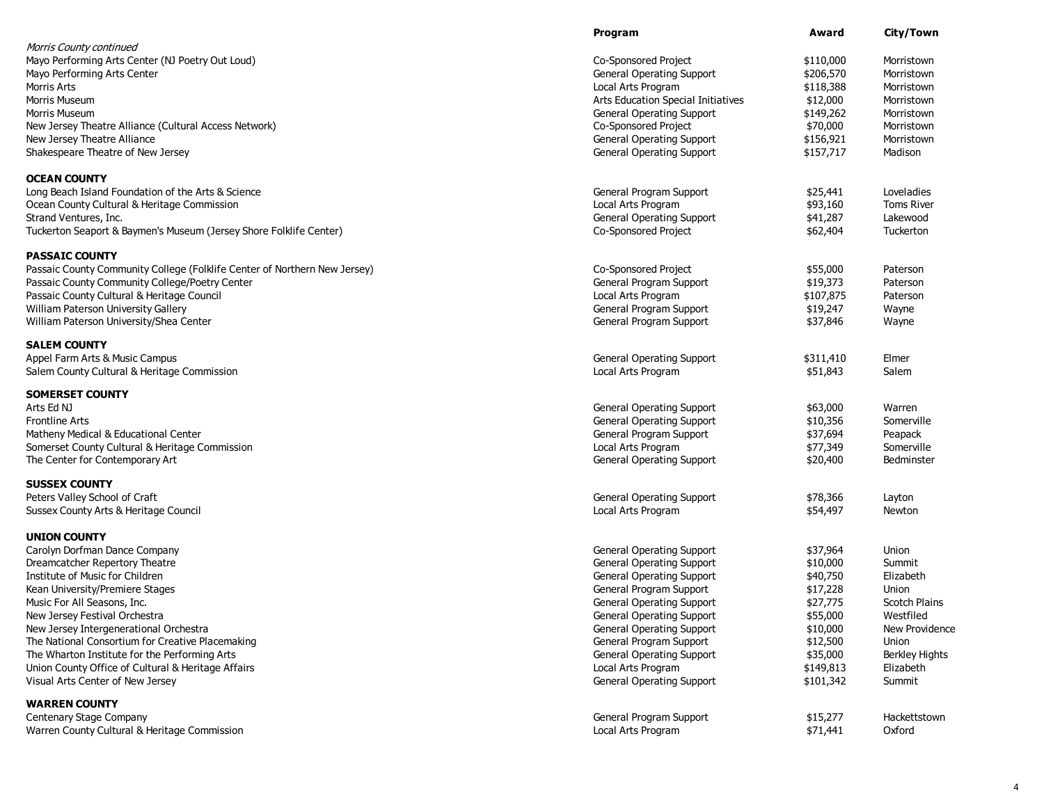|                                                                           | Program                            | Award     | City/Town             |
|---------------------------------------------------------------------------|------------------------------------|-----------|-----------------------|
| Morris County continued                                                   |                                    |           |                       |
| Mayo Performing Arts Center (NJ Poetry Out Loud)                          | Co-Sponsored Project               | \$110,000 | Morristown            |
| Mayo Performing Arts Center                                               | <b>General Operating Support</b>   | \$206,570 | Morristown            |
| Morris Arts                                                               | Local Arts Program                 | \$118,388 | Morristown            |
| Morris Museum                                                             | Arts Education Special Initiatives | \$12,000  | Morristown            |
| Morris Museum                                                             | <b>General Operating Support</b>   | \$149,262 | Morristown            |
| New Jersey Theatre Alliance (Cultural Access Network)                     | Co-Sponsored Project               | \$70,000  | Morristown            |
| New Jersey Theatre Alliance                                               | <b>General Operating Support</b>   | \$156,921 | Morristown            |
| Shakespeare Theatre of New Jersey                                         | <b>General Operating Support</b>   | \$157,717 | Madison               |
| <b>OCEAN COUNTY</b>                                                       |                                    |           |                       |
| Long Beach Island Foundation of the Arts & Science                        | General Program Support            | \$25,441  | Loveladies            |
| Ocean County Cultural & Heritage Commission                               | Local Arts Program                 | \$93,160  | <b>Toms River</b>     |
| Strand Ventures, Inc.                                                     | <b>General Operating Support</b>   | \$41,287  | Lakewood              |
| Tuckerton Seaport & Baymen's Museum (Jersey Shore Folklife Center)        | Co-Sponsored Project               | \$62,404  | Tuckerton             |
| <b>PASSAIC COUNTY</b>                                                     |                                    |           |                       |
| Passaic County Community College (Folklife Center of Northern New Jersey) | Co-Sponsored Project               | \$55,000  | Paterson              |
| Passaic County Community College/Poetry Center                            | General Program Support            | \$19,373  | Paterson              |
| Passaic County Cultural & Heritage Council                                | Local Arts Program                 | \$107,875 | Paterson              |
| William Paterson University Gallery                                       | General Program Support            | \$19,247  | Wayne                 |
| William Paterson University/Shea Center                                   | General Program Support            | \$37,846  | Wayne                 |
| <b>SALEM COUNTY</b>                                                       |                                    |           |                       |
| Appel Farm Arts & Music Campus                                            | <b>General Operating Support</b>   | \$311,410 | Elmer                 |
| Salem County Cultural & Heritage Commission                               | Local Arts Program                 | \$51,843  | Salem                 |
| <b>SOMERSET COUNTY</b>                                                    |                                    |           |                       |
| Arts Ed NJ                                                                | <b>General Operating Support</b>   | \$63,000  | Warren                |
| <b>Frontline Arts</b>                                                     | <b>General Operating Support</b>   | \$10,356  | Somerville            |
| Matheny Medical & Educational Center                                      | General Program Support            | \$37,694  | Peapack               |
| Somerset County Cultural & Heritage Commission                            | Local Arts Program                 | \$77,349  | Somerville            |
| The Center for Contemporary Art                                           | <b>General Operating Support</b>   | \$20,400  | Bedminster            |
| <b>SUSSEX COUNTY</b>                                                      |                                    |           |                       |
| Peters Valley School of Craft                                             | <b>General Operating Support</b>   | \$78,366  | Layton                |
| Sussex County Arts & Heritage Council                                     | Local Arts Program                 | \$54,497  | Newton                |
| <b>UNION COUNTY</b>                                                       |                                    |           |                       |
| Carolyn Dorfman Dance Company                                             | <b>General Operating Support</b>   | \$37,964  | Union                 |
| Dreamcatcher Repertory Theatre                                            | <b>General Operating Support</b>   | \$10,000  | Summit                |
| Institute of Music for Children                                           | <b>General Operating Support</b>   | \$40,750  | Elizabeth             |
| Kean University/Premiere Stages                                           | General Program Support            | \$17,228  | Union                 |
| Music For All Seasons, Inc.                                               | <b>General Operating Support</b>   | \$27,775  | <b>Scotch Plains</b>  |
| New Jersey Festival Orchestra                                             | <b>General Operating Support</b>   | \$55,000  | Westfiled             |
| New Jersey Intergenerational Orchestra                                    | <b>General Operating Support</b>   | \$10,000  | New Providence        |
| The National Consortium for Creative Placemaking                          | General Program Support            | \$12,500  | Union                 |
| The Wharton Institute for the Performing Arts                             | <b>General Operating Support</b>   | \$35,000  | <b>Berkley Hights</b> |
| Union County Office of Cultural & Heritage Affairs                        | Local Arts Program                 | \$149,813 | Elizabeth             |
| Visual Arts Center of New Jersey                                          | <b>General Operating Support</b>   | \$101,342 | Summit                |
| <b>WARREN COUNTY</b>                                                      |                                    |           |                       |
| Centenary Stage Company                                                   | General Program Support            | \$15,277  | Hackettstown          |
| Warren County Cultural & Heritage Commission                              | Local Arts Program                 | \$71,441  | Oxford                |

4